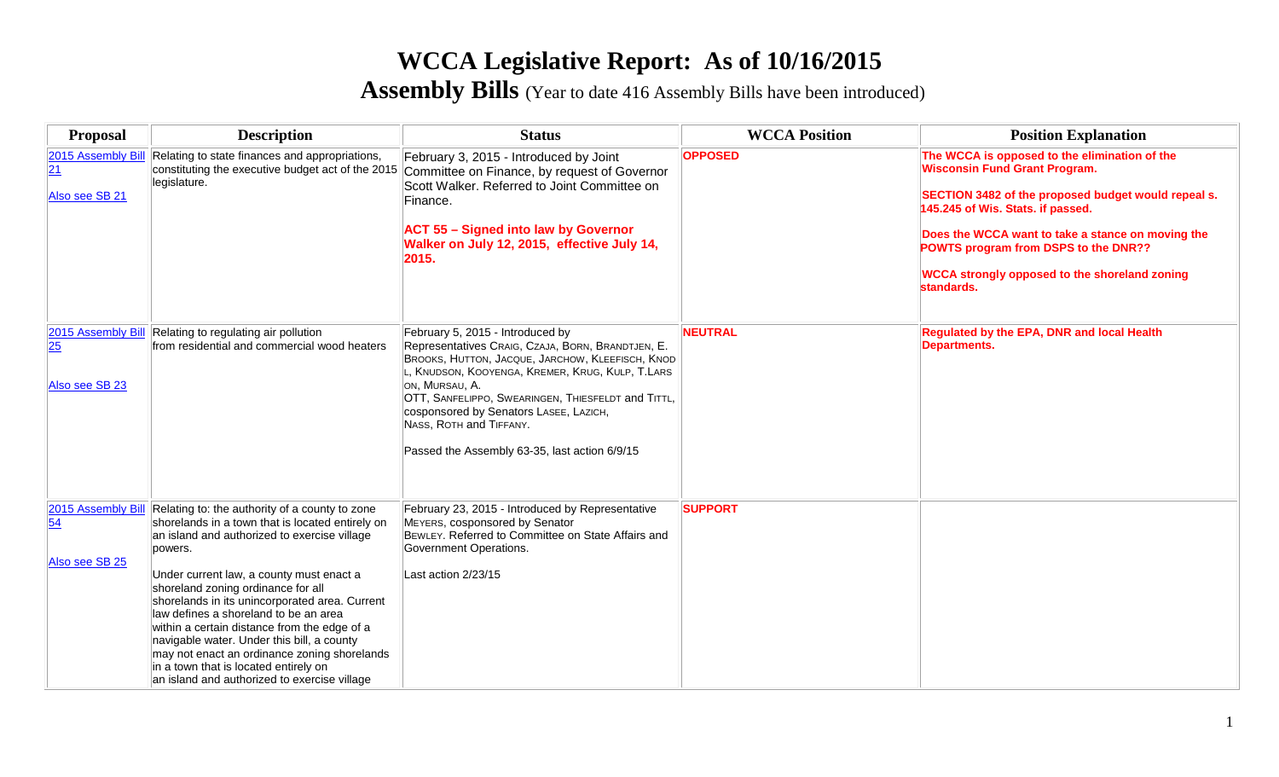# **WCCA Legislative Report: As of 10/16/2015**

**Assembly Bills** (Year to date 416 Assembly Bills have been introduced)

| <b>Proposal</b>                                         | <b>Description</b>                                                                                                                                                                                                                                                                                                                                                                                                                                                                                                                                                                | <b>Status</b>                                                                                                                                                                                                                                                                                                                                                                              | <b>WCCA Position</b> | <b>Position Explanation</b>                                                                                                                                                                                                                                                                                                                          |
|---------------------------------------------------------|-----------------------------------------------------------------------------------------------------------------------------------------------------------------------------------------------------------------------------------------------------------------------------------------------------------------------------------------------------------------------------------------------------------------------------------------------------------------------------------------------------------------------------------------------------------------------------------|--------------------------------------------------------------------------------------------------------------------------------------------------------------------------------------------------------------------------------------------------------------------------------------------------------------------------------------------------------------------------------------------|----------------------|------------------------------------------------------------------------------------------------------------------------------------------------------------------------------------------------------------------------------------------------------------------------------------------------------------------------------------------------------|
| 2015 Assembly Bill<br>$\overline{21}$<br>Also see SB 21 | Relating to state finances and appropriations,<br>constituting the executive budget act of the 2015<br>legislature.                                                                                                                                                                                                                                                                                                                                                                                                                                                               | February 3, 2015 - Introduced by Joint<br>Committee on Finance, by request of Governor<br>Scott Walker, Referred to Joint Committee on<br>Finance.<br><b>ACT 55 - Signed into law by Governor</b><br>Walker on July 12, 2015, effective July 14,<br>2015.                                                                                                                                  | <b>OPPOSED</b>       | The WCCA is opposed to the elimination of the<br><b>Wisconsin Fund Grant Program.</b><br>SECTION 3482 of the proposed budget would repeal s.<br>145.245 of Wis. Stats. if passed.<br>Does the WCCA want to take a stance on moving the<br>POWTS program from DSPS to the DNR??<br><b>WCCA strongly opposed to the shoreland zoning</b><br>standards. |
| 2015 Assembly Bill<br>25<br>Also see SB 23              | Relating to regulating air pollution<br>from residential and commercial wood heaters                                                                                                                                                                                                                                                                                                                                                                                                                                                                                              | February 5, 2015 - Introduced by<br>Representatives CRAIG, CZAJA, BORN, BRANDTJEN, E.<br>BROOKS, HUTTON, JACQUE, JARCHOW, KLEEFISCH, KNOD<br>, KNUDSON, KOOYENGA, KREMER, KRUG, KULP, T.LARS<br>ON, MURSAU, A.<br>OTT, SANFELIPPO, SWEARINGEN, THIESFELDT and TITTL,<br>cosponsored by Senators LASEE, LAZICH,<br>NASS, ROTH and TIFFANY.<br>Passed the Assembly 63-35, last action 6/9/15 | <b>NEUTRAL</b>       | Regulated by the EPA, DNR and local Health<br><b>Departments.</b>                                                                                                                                                                                                                                                                                    |
| 2015 Assembly Bill<br>54<br>Also see SB 25              | Relating to: the authority of a county to zone<br>shorelands in a town that is located entirely on<br>an island and authorized to exercise village<br>powers.<br>Under current law, a county must enact a<br>shoreland zoning ordinance for all<br>shorelands in its unincorporated area. Current<br>law defines a shoreland to be an area<br>within a certain distance from the edge of a<br>navigable water. Under this bill, a county<br>may not enact an ordinance zoning shorelands<br>in a town that is located entirely on<br>an island and authorized to exercise village | February 23, 2015 - Introduced by Representative<br>MEYERS, cosponsored by Senator<br>BEWLEY. Referred to Committee on State Affairs and<br>Government Operations.<br>Last action 2/23/15                                                                                                                                                                                                  | <b>SUPPORT</b>       |                                                                                                                                                                                                                                                                                                                                                      |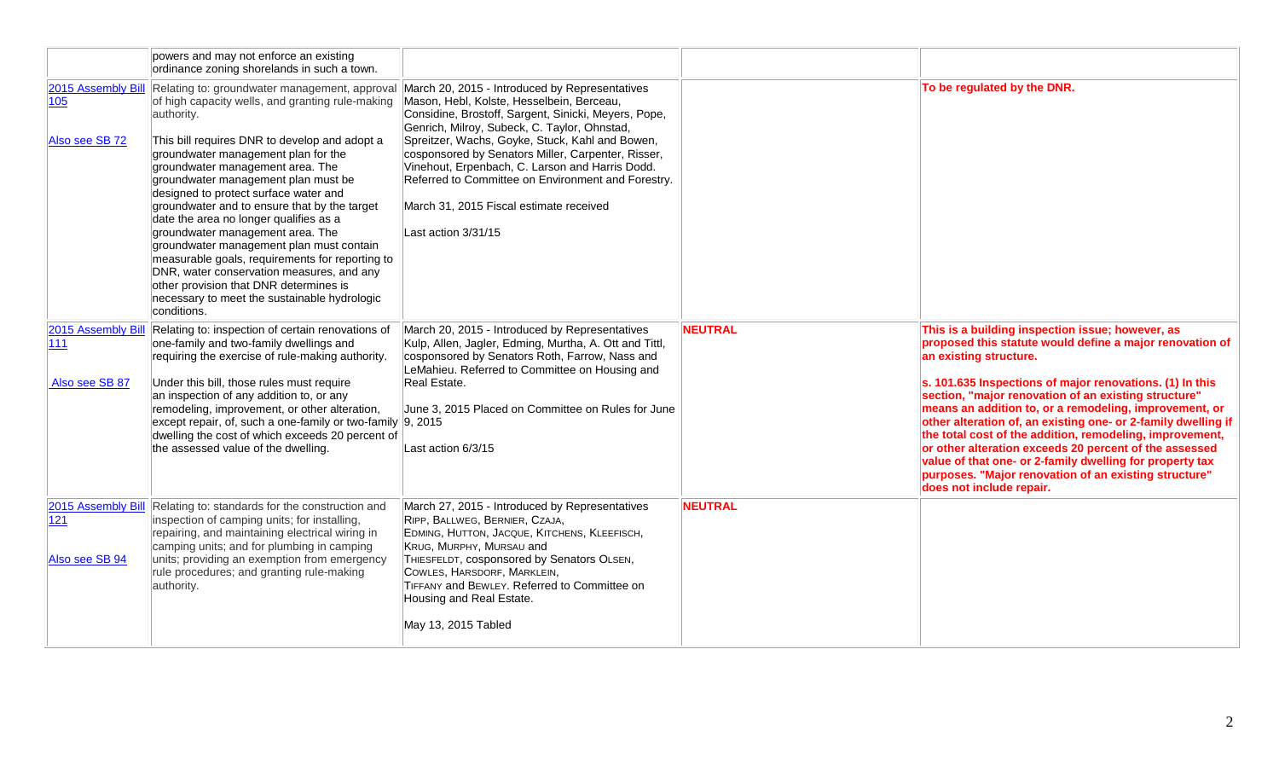|                                             | powers and may not enforce an existing<br>ordinance zoning shorelands in such a town.                                                                                                                                                                                                                                                                                                                                                                                                                                                                                                                                                                                                                          |                                                                                                                                                                                                                                                                                                                                                                                                                                                                                         |                |                                                                                                                                                                                                                                                                                                                                                                                                                                                                                                                                                                                                                                                              |
|---------------------------------------------|----------------------------------------------------------------------------------------------------------------------------------------------------------------------------------------------------------------------------------------------------------------------------------------------------------------------------------------------------------------------------------------------------------------------------------------------------------------------------------------------------------------------------------------------------------------------------------------------------------------------------------------------------------------------------------------------------------------|-----------------------------------------------------------------------------------------------------------------------------------------------------------------------------------------------------------------------------------------------------------------------------------------------------------------------------------------------------------------------------------------------------------------------------------------------------------------------------------------|----------------|--------------------------------------------------------------------------------------------------------------------------------------------------------------------------------------------------------------------------------------------------------------------------------------------------------------------------------------------------------------------------------------------------------------------------------------------------------------------------------------------------------------------------------------------------------------------------------------------------------------------------------------------------------------|
| 2015 Assembly Bill<br>105<br>Also see SB 72 | Relating to: groundwater management, approval<br>of high capacity wells, and granting rule-making<br>authority.<br>This bill requires DNR to develop and adopt a<br>groundwater management plan for the<br>groundwater management area. The<br>groundwater management plan must be<br>designed to protect surface water and<br>groundwater and to ensure that by the target<br>date the area no longer qualifies as a<br>groundwater management area. The<br>groundwater management plan must contain<br>measurable goals, requirements for reporting to<br>DNR, water conservation measures, and any<br>other provision that DNR determines is<br>necessary to meet the sustainable hydrologic<br>conditions. | March 20, 2015 - Introduced by Representatives<br>Mason, Hebl, Kolste, Hesselbein, Berceau,<br>Considine, Brostoff, Sargent, Sinicki, Meyers, Pope,<br>Genrich, Milroy, Subeck, C. Taylor, Ohnstad,<br>Spreitzer, Wachs, Goyke, Stuck, Kahl and Bowen,<br>cosponsored by Senators Miller, Carpenter, Risser,<br>Vinehout, Erpenbach, C. Larson and Harris Dodd.<br>Referred to Committee on Environment and Forestry.<br>March 31, 2015 Fiscal estimate received<br>Last action 3/31/15 |                | To be regulated by the DNR.                                                                                                                                                                                                                                                                                                                                                                                                                                                                                                                                                                                                                                  |
| 2015 Assembly Bill<br>111<br>Also see SB 87 | Relating to: inspection of certain renovations of<br>one-family and two-family dwellings and<br>requiring the exercise of rule-making authority.<br>Under this bill, those rules must require<br>an inspection of any addition to, or any<br>remodeling, improvement, or other alteration,<br>except repair, of, such a one-family or two-family 9, 2015<br>dwelling the cost of which exceeds 20 percent of<br>the assessed value of the dwelling.                                                                                                                                                                                                                                                            | March 20, 2015 - Introduced by Representatives<br>Kulp, Allen, Jagler, Edming, Murtha, A. Ott and Tittl,<br>cosponsored by Senators Roth, Farrow, Nass and<br>LeMahieu. Referred to Committee on Housing and<br>Real Estate.<br>June 3, 2015 Placed on Committee on Rules for June<br>Last action 6/3/15                                                                                                                                                                                | <b>NEUTRAL</b> | This is a building inspection issue; however, as<br>proposed this statute would define a major renovation of<br>an existing structure.<br>s. 101.635 Inspections of major renovations. (1) In this<br>section, "major renovation of an existing structure"<br>means an addition to, or a remodeling, improvement, or<br>other alteration of, an existing one- or 2-family dwelling if<br>the total cost of the addition, remodeling, improvement,<br>or other alteration exceeds 20 percent of the assessed<br>value of that one- or 2-family dwelling for property tax<br>purposes. "Major renovation of an existing structure"<br>does not include repair. |
| 121<br>Also see SB 94                       | 2015 Assembly Bill Relating to: standards for the construction and<br>inspection of camping units; for installing,<br>repairing, and maintaining electrical wiring in<br>camping units; and for plumbing in camping<br>units; providing an exemption from emergency<br>rule procedures; and granting rule-making<br>authority.                                                                                                                                                                                                                                                                                                                                                                                 | March 27, 2015 - Introduced by Representatives<br>RIPP, BALLWEG, BERNIER, CZAJA,<br>EDMING, HUTTON, JACQUE, KITCHENS, KLEEFISCH,<br>KRUG, MURPHY, MURSAU and<br>THIESFELDT, cosponsored by Senators OLSEN,<br>COWLES, HARSDORF, MARKLEIN,<br>TIFFANY and BEWLEY. Referred to Committee on<br>Housing and Real Estate.<br>May 13, 2015 Tabled                                                                                                                                            | <b>NEUTRAL</b> |                                                                                                                                                                                                                                                                                                                                                                                                                                                                                                                                                                                                                                                              |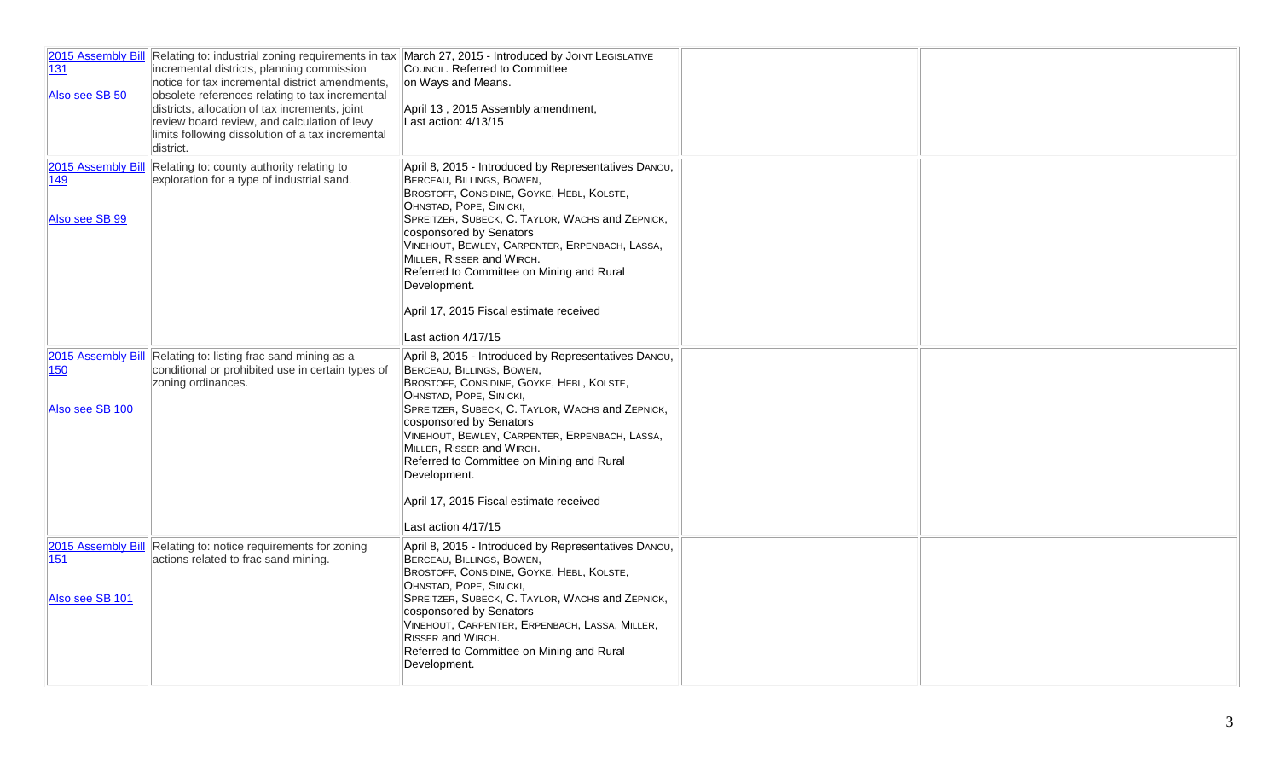| 131<br>Also see SB 50                               | incremental districts, planning commission<br>notice for tax incremental district amendments,<br>obsolete references relating to tax incremental<br>districts, allocation of tax increments, joint<br>review board review, and calculation of levy<br>limits following dissolution of a tax incremental<br>district. | 2015 Assembly Bill Relating to: industrial zoning requirements in tax March 27, 2015 - Introduced by JOINT LEGISLATIVE<br>COUNCIL. Referred to Committee<br>on Ways and Means.<br>April 13, 2015 Assembly amendment,<br>Last action: 4/13/15                                                                                                                                                                                                           |  |
|-----------------------------------------------------|----------------------------------------------------------------------------------------------------------------------------------------------------------------------------------------------------------------------------------------------------------------------------------------------------------------------|--------------------------------------------------------------------------------------------------------------------------------------------------------------------------------------------------------------------------------------------------------------------------------------------------------------------------------------------------------------------------------------------------------------------------------------------------------|--|
| 149<br>Also see SB 99                               | 2015 Assembly Bill Relating to: county authority relating to<br>exploration for a type of industrial sand.                                                                                                                                                                                                           | April 8, 2015 - Introduced by Representatives DANOU,<br>BERCEAU, BILLINGS, BOWEN,<br>BROSTOFF, CONSIDINE, GOYKE, HEBL, KOLSTE,<br>OHNSTAD, POPE, SINICKI,<br>SPREITZER, SUBECK, C. TAYLOR, WACHS and ZEPNICK,<br>cosponsored by Senators<br>VINEHOUT, BEWLEY, CARPENTER, ERPENBACH, LASSA,<br>MILLER, RISSER and WIRCH.<br>Referred to Committee on Mining and Rural<br>Development.<br>April 17, 2015 Fiscal estimate received<br>Last action 4/17/15 |  |
| 2015 Assembly Bill<br><b>150</b><br>Also see SB 100 | Relating to: listing frac sand mining as a<br>conditional or prohibited use in certain types of<br>zoning ordinances.                                                                                                                                                                                                | April 8, 2015 - Introduced by Representatives DANOU,<br>BERCEAU, BILLINGS, BOWEN,<br>BROSTOFF, CONSIDINE, GOYKE, HEBL, KOLSTE,<br>OHNSTAD, POPE, SINICKI,<br>SPREITZER, SUBECK, C. TAYLOR, WACHS and ZEPNICK,<br>cosponsored by Senators<br>VINEHOUT, BEWLEY, CARPENTER, ERPENBACH, LASSA,<br>MILLER, RISSER and WIRCH.<br>Referred to Committee on Mining and Rural<br>Development.<br>April 17, 2015 Fiscal estimate received<br>Last action 4/17/15 |  |
| 2015 Assembly Bill<br>151<br>Also see SB 101        | Relating to: notice requirements for zoning<br>actions related to frac sand mining.                                                                                                                                                                                                                                  | April 8, 2015 - Introduced by Representatives DANOU,<br>BERCEAU, BILLINGS, BOWEN,<br>BROSTOFF, CONSIDINE, GOYKE, HEBL, KOLSTE,<br>OHNSTAD, POPE, SINICKI,<br>SPREITZER, SUBECK, C. TAYLOR, WACHS and ZEPNICK,<br>cosponsored by Senators<br>VINEHOUT, CARPENTER, ERPENBACH, LASSA, MILLER,<br>RISSER and WIRCH.<br>Referred to Committee on Mining and Rural<br>Development.                                                                           |  |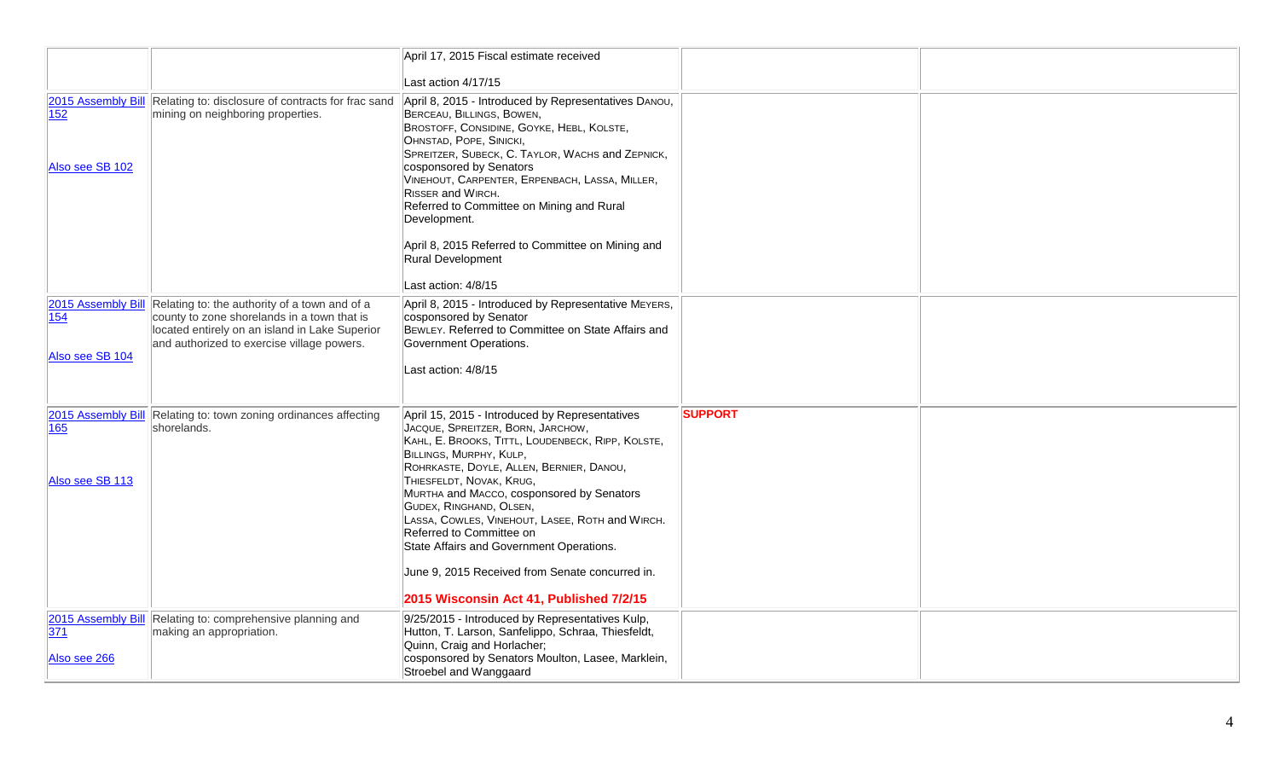|                        |                                                                                                                                             | April 17, 2015 Fiscal estimate received                                                                                                                                                                                                                                                                                                                                      |                |  |
|------------------------|---------------------------------------------------------------------------------------------------------------------------------------------|------------------------------------------------------------------------------------------------------------------------------------------------------------------------------------------------------------------------------------------------------------------------------------------------------------------------------------------------------------------------------|----------------|--|
|                        |                                                                                                                                             | Last action 4/17/15                                                                                                                                                                                                                                                                                                                                                          |                |  |
| 152<br>Also see SB 102 | 2015 Assembly Bill Relating to: disclosure of contracts for frac sand<br>mining on neighboring properties.                                  | April 8, 2015 - Introduced by Representatives DANOU,<br>BERCEAU, BILLINGS, BOWEN,<br>BROSTOFF, CONSIDINE, GOYKE, HEBL, KOLSTE,<br>OHNSTAD, POPE, SINICKI,<br>SPREITZER, SUBECK, C. TAYLOR, WACHS and ZEPNICK,<br>cosponsored by Senators<br>VINEHOUT, CARPENTER, ERPENBACH, LASSA, MILLER,<br>RISSER and WIRCH.<br>Referred to Committee on Mining and Rural<br>Development. |                |  |
|                        |                                                                                                                                             | April 8, 2015 Referred to Committee on Mining and<br>Rural Development<br>Last action: 4/8/15                                                                                                                                                                                                                                                                                |                |  |
|                        | 2015 Assembly Bill Relating to: the authority of a town and of a                                                                            | April 8, 2015 - Introduced by Representative MEYERS,                                                                                                                                                                                                                                                                                                                         |                |  |
| 154                    | county to zone shorelands in a town that is<br>located entirely on an island in Lake Superior<br>and authorized to exercise village powers. | cosponsored by Senator<br>BEWLEY. Referred to Committee on State Affairs and<br>Government Operations.                                                                                                                                                                                                                                                                       |                |  |
| Also see SB 104        |                                                                                                                                             | Last action: 4/8/15                                                                                                                                                                                                                                                                                                                                                          |                |  |
| 165                    | 2015 Assembly Bill Relating to: town zoning ordinances affecting<br>shorelands.                                                             | April 15, 2015 - Introduced by Representatives<br>JACQUE, SPREITZER, BORN, JARCHOW,<br>KAHL, E. BROOKS, TITTL, LOUDENBECK, RIPP, KOLSTE,<br>BILLINGS, MURPHY, KULP,<br>ROHRKASTE, DOYLE, ALLEN, BERNIER, DANOU,                                                                                                                                                              | <b>SUPPORT</b> |  |
| Also see SB 113        |                                                                                                                                             | THIESFELDT, NOVAK, KRUG,<br>MURTHA and MACCO, cosponsored by Senators<br>GUDEX, RINGHAND, OLSEN,<br>LASSA, COWLES, VINEHOUT, LASEE, ROTH and WIRCH.<br>Referred to Committee on<br>State Affairs and Government Operations.                                                                                                                                                  |                |  |
|                        |                                                                                                                                             | June 9, 2015 Received from Senate concurred in.<br>2015 Wisconsin Act 41, Published 7/2/15                                                                                                                                                                                                                                                                                   |                |  |
|                        | 2015 Assembly Bill Relating to: comprehensive planning and                                                                                  | 9/25/2015 - Introduced by Representatives Kulp,                                                                                                                                                                                                                                                                                                                              |                |  |
| 371<br>Also see 266    | making an appropriation.                                                                                                                    | Hutton, T. Larson, Sanfelippo, Schraa, Thiesfeldt,<br>Quinn, Craig and Horlacher;<br>cosponsored by Senators Moulton, Lasee, Marklein,<br>Stroebel and Wanggaard                                                                                                                                                                                                             |                |  |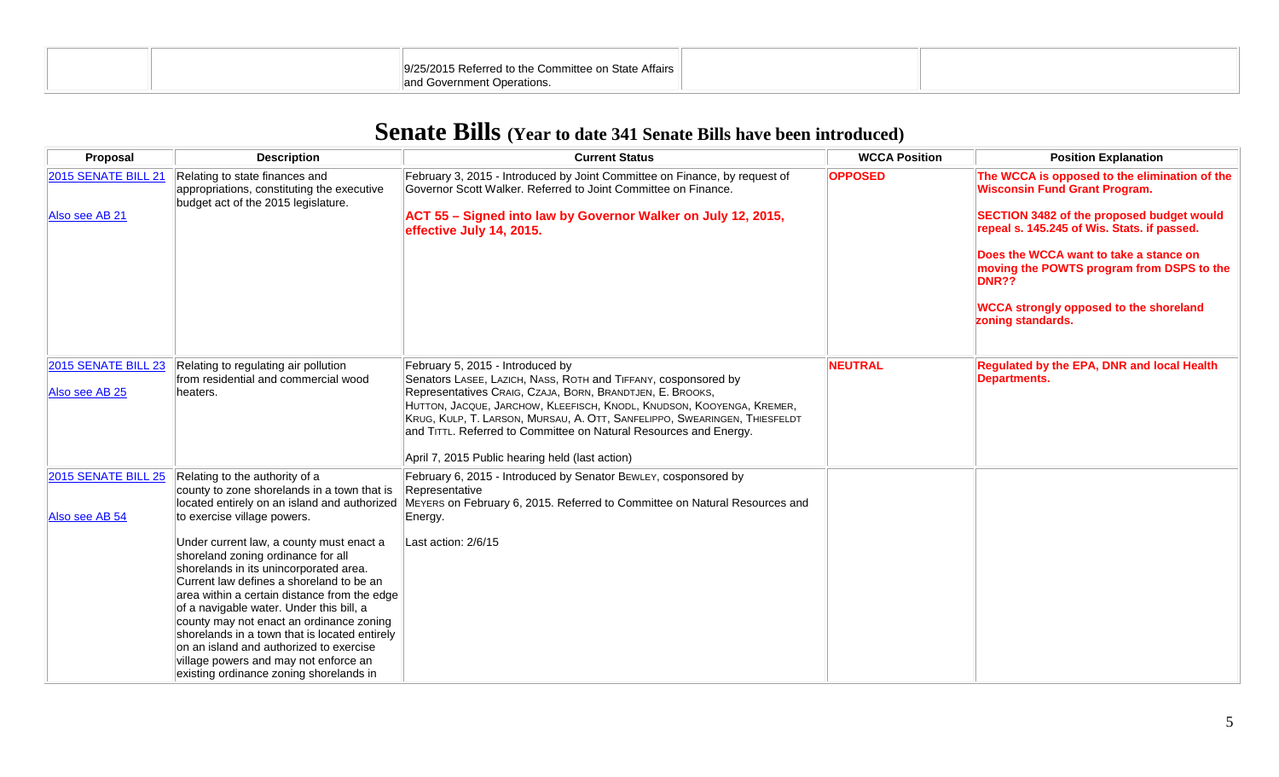| 19/25/2015 Referred to the Committee on State Affairs 1<br><sup>11</sup> and Government Operations. |  |
|-----------------------------------------------------------------------------------------------------|--|

## **Senate Bills (Year to date 341 Senate Bills have been introduced)**

| Proposal                              | <b>Description</b>                                                                                                                                                                                                                                                                                                                                                                                                                                                                                                                                                                                                                                           | <b>Current Status</b>                                                                                                                                                                                                                                                                                                                                                                                                                         | <b>WCCA Position</b> | <b>Position Explanation</b>                                                                                                                                                                                                                                                                                                                                    |
|---------------------------------------|--------------------------------------------------------------------------------------------------------------------------------------------------------------------------------------------------------------------------------------------------------------------------------------------------------------------------------------------------------------------------------------------------------------------------------------------------------------------------------------------------------------------------------------------------------------------------------------------------------------------------------------------------------------|-----------------------------------------------------------------------------------------------------------------------------------------------------------------------------------------------------------------------------------------------------------------------------------------------------------------------------------------------------------------------------------------------------------------------------------------------|----------------------|----------------------------------------------------------------------------------------------------------------------------------------------------------------------------------------------------------------------------------------------------------------------------------------------------------------------------------------------------------------|
| 2015 SENATE BILL 21<br>Also see AB 21 | Relating to state finances and<br>appropriations, constituting the executive<br>budget act of the 2015 legislature.                                                                                                                                                                                                                                                                                                                                                                                                                                                                                                                                          | February 3, 2015 - Introduced by Joint Committee on Finance, by request of<br>Governor Scott Walker, Referred to Joint Committee on Finance.<br>ACT 55 - Signed into law by Governor Walker on July 12, 2015,<br>effective July 14, 2015.                                                                                                                                                                                                     | <b>OPPOSED</b>       | The WCCA is opposed to the elimination of the<br><b>Wisconsin Fund Grant Program.</b><br>SECTION 3482 of the proposed budget would<br>repeal s. 145.245 of Wis. Stats. if passed.<br>Does the WCCA want to take a stance on<br>moving the POWTS program from DSPS to the<br><b>DNR??</b><br><b>WCCA strongly opposed to the shoreland</b><br>zoning standards. |
| 2015 SENATE BILL 23<br>Also see AB 25 | Relating to regulating air pollution<br>from residential and commercial wood<br>heaters.                                                                                                                                                                                                                                                                                                                                                                                                                                                                                                                                                                     | February 5, 2015 - Introduced by<br>Senators LASEE, LAZICH, NASS, ROTH and TIFFANY, cosponsored by<br>Representatives CRAIG, CZAJA, BORN, BRANDTJEN, E. BROOKS,<br>HUTTON, JACQUE, JARCHOW, KLEEFISCH, KNODL, KNUDSON, KOOYENGA, KREMER,<br>KRUG, KULP, T. LARSON, MURSAU, A. OTT, SANFELIPPO, SWEARINGEN, THIESFELDT<br>and TITTL. Referred to Committee on Natural Resources and Energy.<br>April 7, 2015 Public hearing held (last action) | <b>NEUTRAL</b>       | Regulated by the EPA, DNR and local Health<br><b>Departments.</b>                                                                                                                                                                                                                                                                                              |
| 2015 SENATE BILL 25<br>Also see AB 54 | Relating to the authority of a<br>county to zone shorelands in a town that is<br>located entirely on an island and authorized<br>to exercise village powers.<br>Under current law, a county must enact a<br>shoreland zoning ordinance for all<br>shorelands in its unincorporated area.<br>Current law defines a shoreland to be an<br>area within a certain distance from the edge<br>of a navigable water. Under this bill, a<br>county may not enact an ordinance zoning<br>shorelands in a town that is located entirely<br>on an island and authorized to exercise<br>village powers and may not enforce an<br>existing ordinance zoning shorelands in | February 6, 2015 - Introduced by Senator BEWLEY, cosponsored by<br>Representative<br>MEYERS on February 6, 2015. Referred to Committee on Natural Resources and<br>Energy.<br>Last action: 2/6/15                                                                                                                                                                                                                                             |                      |                                                                                                                                                                                                                                                                                                                                                                |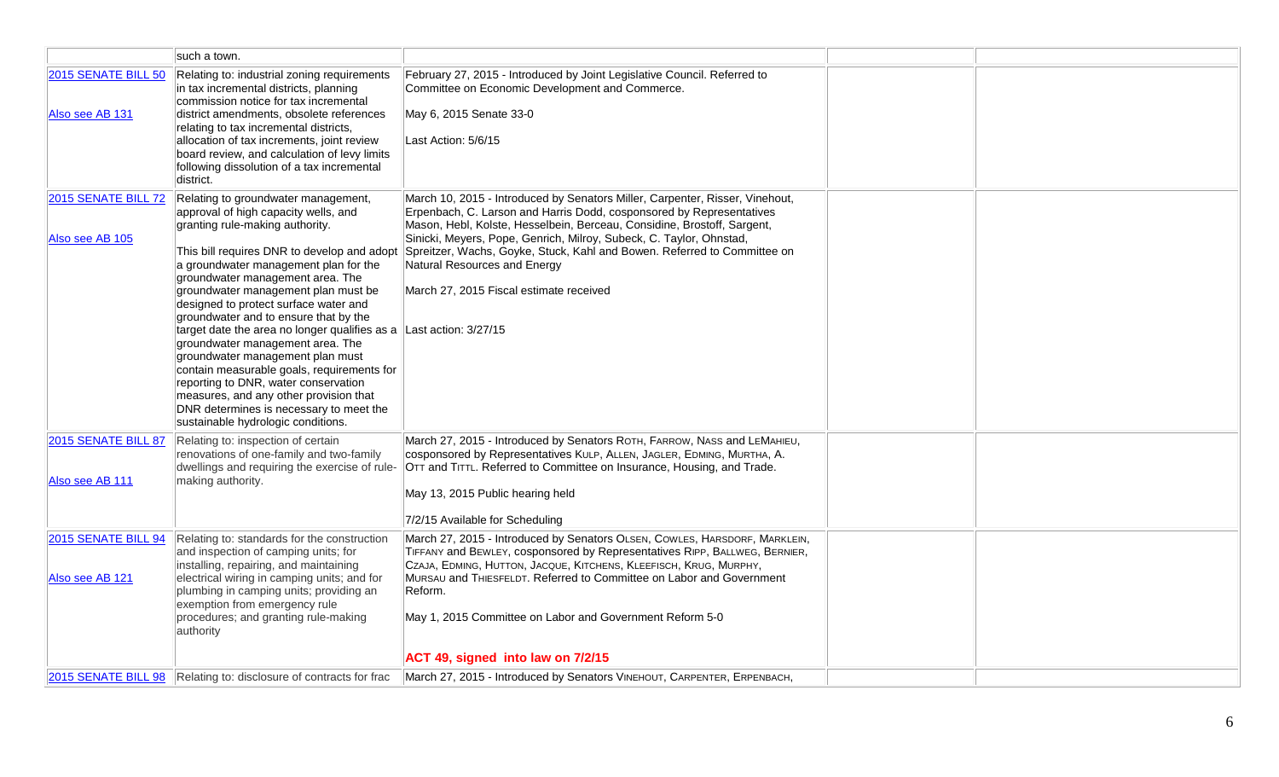|                                               | such a town.                                                                                                                                                                                                                                                                                                                                                                                                                                                                                                                                                                                                                                                                                                  |                                                                                                                                                                                                                                                                                                                                                                                                                                                                                       |  |
|-----------------------------------------------|---------------------------------------------------------------------------------------------------------------------------------------------------------------------------------------------------------------------------------------------------------------------------------------------------------------------------------------------------------------------------------------------------------------------------------------------------------------------------------------------------------------------------------------------------------------------------------------------------------------------------------------------------------------------------------------------------------------|---------------------------------------------------------------------------------------------------------------------------------------------------------------------------------------------------------------------------------------------------------------------------------------------------------------------------------------------------------------------------------------------------------------------------------------------------------------------------------------|--|
| <b>2015 SENATE BILL 50</b><br>Also see AB 131 | Relating to: industrial zoning requirements<br>in tax incremental districts, planning<br>commission notice for tax incremental<br>district amendments, obsolete references<br>relating to tax incremental districts,<br>allocation of tax increments, joint review<br>board review, and calculation of levy limits<br>following dissolution of a tax incremental<br>district.                                                                                                                                                                                                                                                                                                                                 | February 27, 2015 - Introduced by Joint Legislative Council. Referred to<br>Committee on Economic Development and Commerce.<br>May 6, 2015 Senate 33-0<br>Last Action: 5/6/15                                                                                                                                                                                                                                                                                                         |  |
| 2015 SENATE BILL 72<br>Also see AB 105        | Relating to groundwater management,<br>approval of high capacity wells, and<br>granting rule-making authority.<br>This bill requires DNR to develop and adopt<br>a groundwater management plan for the<br>groundwater management area. The<br>groundwater management plan must be<br>designed to protect surface water and<br>groundwater and to ensure that by the<br>target date the area no longer qualifies as a<br>groundwater management area. The<br>groundwater management plan must<br>contain measurable goals, requirements for<br>reporting to DNR, water conservation<br>measures, and any other provision that<br>DNR determines is necessary to meet the<br>sustainable hydrologic conditions. | March 10, 2015 - Introduced by Senators Miller, Carpenter, Risser, Vinehout,<br>Erpenbach, C. Larson and Harris Dodd, cosponsored by Representatives<br>Mason, Hebl, Kolste, Hesselbein, Berceau, Considine, Brostoff, Sargent,<br>Sinicki, Meyers, Pope, Genrich, Milroy, Subeck, C. Taylor, Ohnstad,<br>Spreitzer, Wachs, Goyke, Stuck, Kahl and Bowen. Referred to Committee on<br>Natural Resources and Energy<br>March 27, 2015 Fiscal estimate received<br>Last action: 3/27/15 |  |
| 2015 SENATE BILL 87<br>Also see AB 111        | Relating to: inspection of certain<br>renovations of one-family and two-family<br>dwellings and requiring the exercise of rule-<br>making authority.                                                                                                                                                                                                                                                                                                                                                                                                                                                                                                                                                          | March 27, 2015 - Introduced by Senators ROTH, FARROW, NASS and LEMAHIEU,<br>cosponsored by Representatives KULP, ALLEN, JAGLER, EDMING, MURTHA, A.<br>OTT and TITTL. Referred to Committee on Insurance, Housing, and Trade.<br>May 13, 2015 Public hearing held<br>7/2/15 Available for Scheduling                                                                                                                                                                                   |  |
| 2015 SENATE BILL 94<br>Also see AB 121        | Relating to: standards for the construction<br>and inspection of camping units; for<br>installing, repairing, and maintaining<br>electrical wiring in camping units; and for<br>plumbing in camping units; providing an<br>exemption from emergency rule<br>procedures; and granting rule-making<br>authority                                                                                                                                                                                                                                                                                                                                                                                                 | March 27, 2015 - Introduced by Senators OLSEN, COWLES, HARSDORF, MARKLEIN,<br>TIFFANY and BEWLEY, cosponsored by Representatives RIPP, BALLWEG, BERNIER,<br>CZAJA, EDMING, HUTTON, JACQUE, KITCHENS, KLEEFISCH, KRUG, MURPHY,<br>MURSAU and THIESFELDT, Referred to Committee on Labor and Government<br>Reform.<br>May 1, 2015 Committee on Labor and Government Reform 5-0                                                                                                          |  |
|                                               |                                                                                                                                                                                                                                                                                                                                                                                                                                                                                                                                                                                                                                                                                                               | ACT 49, signed into law on 7/2/15                                                                                                                                                                                                                                                                                                                                                                                                                                                     |  |
|                                               | 2015 SENATE BILL 98 Relating to: disclosure of contracts for frac                                                                                                                                                                                                                                                                                                                                                                                                                                                                                                                                                                                                                                             | March 27, 2015 - Introduced by Senators VINEHOUT, CARPENTER, ERPENBACH,                                                                                                                                                                                                                                                                                                                                                                                                               |  |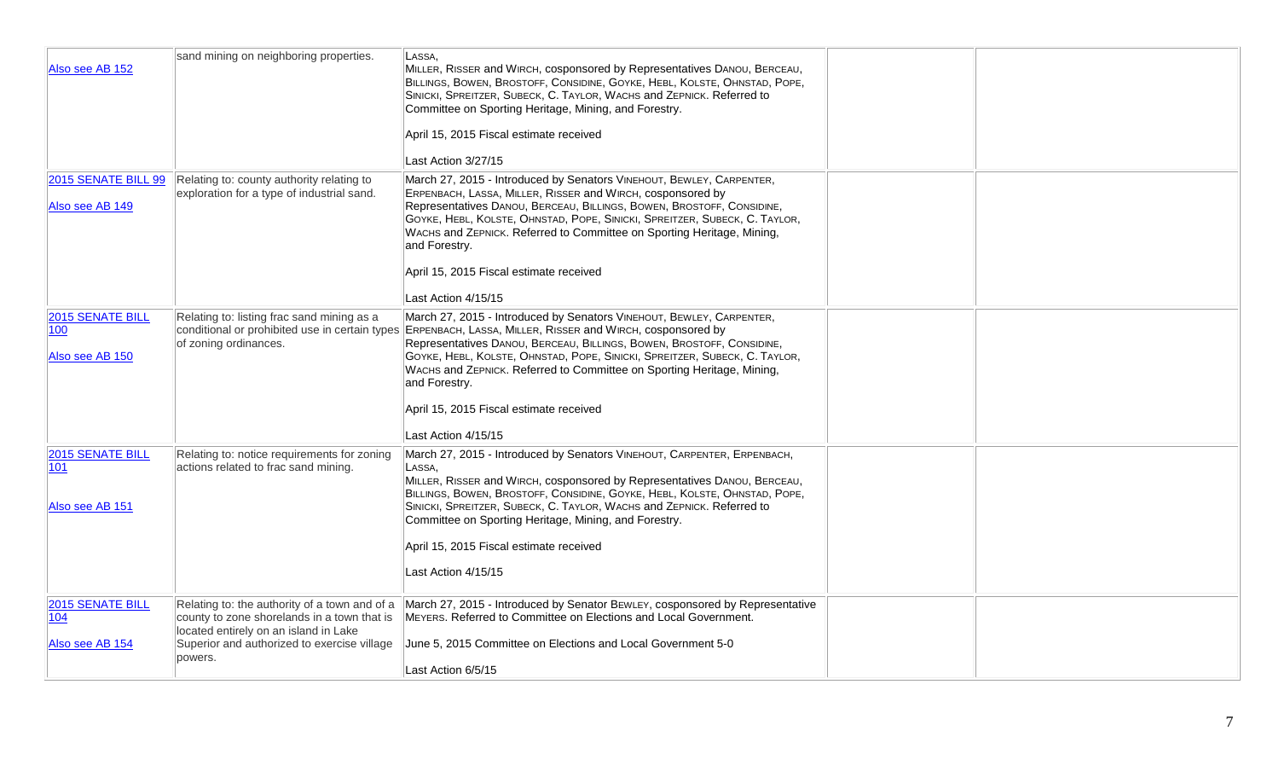| Also see AB 152                                   | sand mining on neighboring properties.                                                                                                                                                          | LASSA.<br>MILLER, RISSER and WIRCH, cosponsored by Representatives DANOU, BERCEAU,<br>BILLINGS, BOWEN, BROSTOFF, CONSIDINE, GOYKE, HEBL, KOLSTE, OHNSTAD, POPE,<br>SINICKI, SPREITZER, SUBECK, C. TAYLOR, WACHS and ZEPNICK. Referred to<br>Committee on Sporting Heritage, Mining, and Forestry.<br>April 15, 2015 Fiscal estimate received<br>Last Action 3/27/15                                                                                    |  |
|---------------------------------------------------|-------------------------------------------------------------------------------------------------------------------------------------------------------------------------------------------------|--------------------------------------------------------------------------------------------------------------------------------------------------------------------------------------------------------------------------------------------------------------------------------------------------------------------------------------------------------------------------------------------------------------------------------------------------------|--|
| 2015 SENATE BILL 99<br>Also see AB 149            | Relating to: county authority relating to<br>exploration for a type of industrial sand.                                                                                                         | March 27, 2015 - Introduced by Senators VINEHOUT, BEWLEY, CARPENTER,<br>ERPENBACH, LASSA, MILLER, RISSER and WIRCH, cosponsored by<br>Representatives DANOU, BERCEAU, BILLINGS, BOWEN, BROSTOFF, CONSIDINE,<br>GOYKE, HEBL, KOLSTE, OHNSTAD, POPE, SINICKI, SPREITZER, SUBECK, C. TAYLOR,<br>WACHS and ZEPNICK. Referred to Committee on Sporting Heritage, Mining,<br>and Forestry.<br>April 15, 2015 Fiscal estimate received<br>Last Action 4/15/15 |  |
| <b>2015 SENATE BILL</b><br>100<br>Also see AB 150 | Relating to: listing frac sand mining as a<br>conditional or prohibited use in certain types<br>of zoning ordinances.                                                                           | March 27, 2015 - Introduced by Senators VINEHOUT, BEWLEY, CARPENTER,<br>ERPENBACH, LASSA, MILLER, RISSER and WIRCH, cosponsored by<br>Representatives DANOU, BERCEAU, BILLINGS, BOWEN, BROSTOFF, CONSIDINE,<br>GOYKE, HEBL, KOLSTE, OHNSTAD, POPE, SINICKI, SPREITZER, SUBECK, C. TAYLOR,<br>WACHS and ZEPNICK. Referred to Committee on Sporting Heritage, Mining,<br>and Forestry.<br>April 15, 2015 Fiscal estimate received<br>Last Action 4/15/15 |  |
| 2015 SENATE BILL<br> 101<br>Also see AB 151       | Relating to: notice requirements for zoning<br>actions related to frac sand mining.                                                                                                             | March 27, 2015 - Introduced by Senators VINEHOUT, CARPENTER, ERPENBACH,<br>LASSA,<br>MILLER, RISSER and WIRCH, cosponsored by Representatives DANOU, BERCEAU,<br>BILLINGS, BOWEN, BROSTOFF, CONSIDINE, GOYKE, HEBL, KOLSTE, OHNSTAD, POPE,<br>SINICKI, SPREITZER, SUBECK, C. TAYLOR, WACHS and ZEPNICK. Referred to<br>Committee on Sporting Heritage, Mining, and Forestry.<br>April 15, 2015 Fiscal estimate received<br>Last Action 4/15/15         |  |
| 2015 SENATE BILL<br>104<br>Also see AB 154        | Relating to: the authority of a town and of a<br>county to zone shorelands in a town that is<br>located entirely on an island in Lake<br>Superior and authorized to exercise village<br>powers. | March 27, 2015 - Introduced by Senator BEWLEY, cosponsored by Representative<br>MEYERS. Referred to Committee on Elections and Local Government.<br>June 5, 2015 Committee on Elections and Local Government 5-0<br>Last Action 6/5/15                                                                                                                                                                                                                 |  |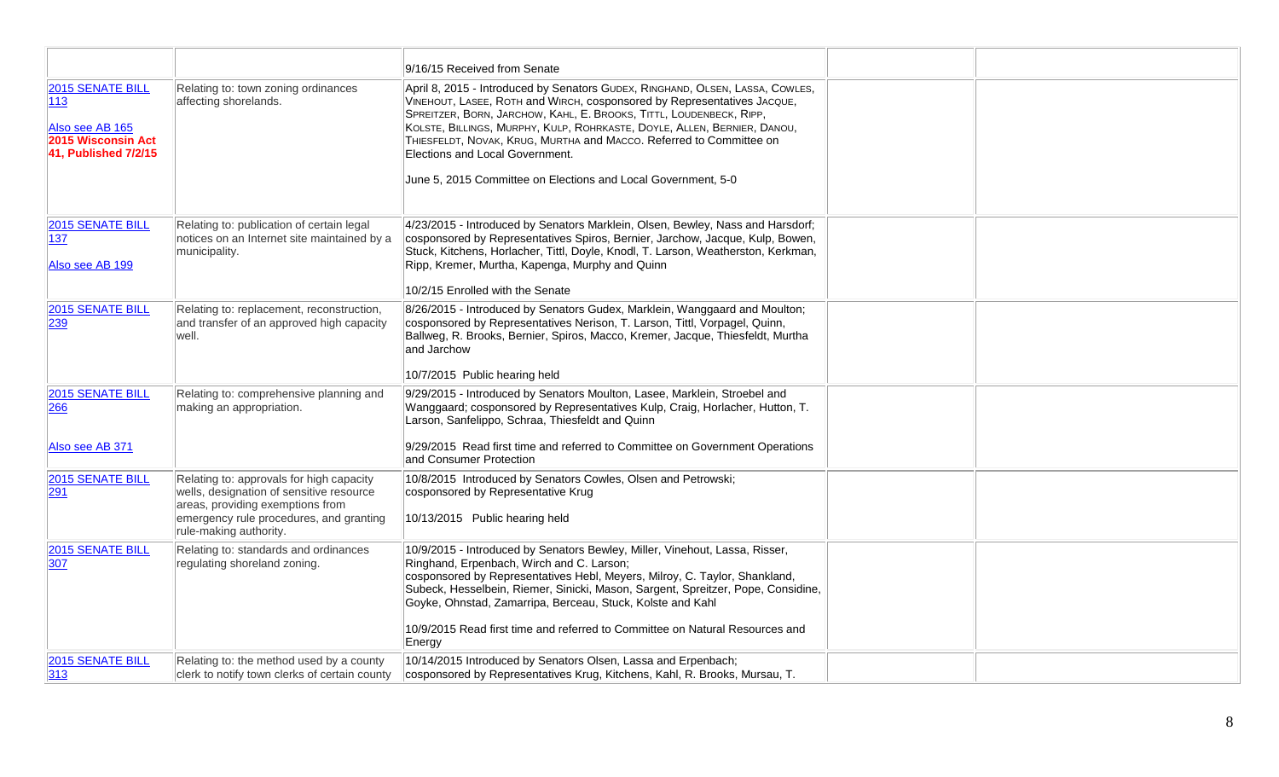|                                                                                          |                                                                                                                                                                                               | 9/16/15 Received from Senate                                                                                                                                                                                                                                                                                                                                                                                                                                                           |  |
|------------------------------------------------------------------------------------------|-----------------------------------------------------------------------------------------------------------------------------------------------------------------------------------------------|----------------------------------------------------------------------------------------------------------------------------------------------------------------------------------------------------------------------------------------------------------------------------------------------------------------------------------------------------------------------------------------------------------------------------------------------------------------------------------------|--|
| 2015 SENATE BILL<br>113<br>Also see AB 165<br>2015 Wisconsin Act<br>41. Published 7/2/15 | Relating to: town zoning ordinances<br>affecting shorelands.                                                                                                                                  | April 8, 2015 - Introduced by Senators GUDEX, RINGHAND, OLSEN, LASSA, COWLES,<br>VINEHOUT, LASEE, ROTH and WIRCH, cosponsored by Representatives JACQUE,<br>SPREITZER, BORN, JARCHOW, KAHL, E. BROOKS, TITTL, LOUDENBECK, RIPP,<br>KOLSTE, BILLINGS, MURPHY, KULP, ROHRKASTE, DOYLE, ALLEN, BERNIER, DANOU,<br>THIESFELDT, NOVAK, KRUG, MURTHA and MACCO. Referred to Committee on<br>Elections and Local Government.<br>June 5, 2015 Committee on Elections and Local Government, 5-0 |  |
| 2015 SENATE BILL<br>137<br>Also see AB 199                                               | Relating to: publication of certain legal<br>notices on an Internet site maintained by a<br>municipality.                                                                                     | 4/23/2015 - Introduced by Senators Marklein, Olsen, Bewley, Nass and Harsdorf;<br>cosponsored by Representatives Spiros, Bernier, Jarchow, Jacque, Kulp, Bowen,<br>Stuck, Kitchens, Horlacher, Tittl, Doyle, Knodl, T. Larson, Weatherston, Kerkman,<br>Ripp, Kremer, Murtha, Kapenga, Murphy and Quinn<br>10/2/15 Enrolled with the Senate                                                                                                                                            |  |
| 2015 SENATE BILL<br>239                                                                  | Relating to: replacement, reconstruction,<br>and transfer of an approved high capacity<br>well.                                                                                               | 8/26/2015 - Introduced by Senators Gudex, Marklein, Wanggaard and Moulton;<br>cosponsored by Representatives Nerison, T. Larson, Tittl, Vorpagel, Quinn,<br>Ballweg, R. Brooks, Bernier, Spiros, Macco, Kremer, Jacque, Thiesfeldt, Murtha<br>and Jarchow<br>10/7/2015 Public hearing held                                                                                                                                                                                             |  |
| 2015 SENATE BILL<br>266<br>Also see AB 371                                               | Relating to: comprehensive planning and<br>making an appropriation.                                                                                                                           | 9/29/2015 - Introduced by Senators Moulton, Lasee, Marklein, Stroebel and<br>Wanggaard; cosponsored by Representatives Kulp, Craig, Horlacher, Hutton, T.<br>Larson, Sanfelippo, Schraa, Thiesfeldt and Quinn<br>9/29/2015 Read first time and referred to Committee on Government Operations<br>and Consumer Protection                                                                                                                                                               |  |
| 2015 SENATE BILL<br>291                                                                  | Relating to: approvals for high capacity<br>wells, designation of sensitive resource<br>areas, providing exemptions from<br>emergency rule procedures, and granting<br>rule-making authority. | 10/8/2015 Introduced by Senators Cowles, Olsen and Petrowski;<br>cosponsored by Representative Krug<br>10/13/2015 Public hearing held                                                                                                                                                                                                                                                                                                                                                  |  |
| 2015 SENATE BILL<br>307                                                                  | Relating to: standards and ordinances<br>regulating shoreland zoning.                                                                                                                         | 10/9/2015 - Introduced by Senators Bewley, Miller, Vinehout, Lassa, Risser,<br>Ringhand, Erpenbach, Wirch and C. Larson;<br>cosponsored by Representatives Hebl, Meyers, Milroy, C. Taylor, Shankland,<br>Subeck, Hesselbein, Riemer, Sinicki, Mason, Sargent, Spreitzer, Pope, Considine,<br>Goyke, Ohnstad, Zamarripa, Berceau, Stuck, Kolste and Kahl<br>10/9/2015 Read first time and referred to Committee on Natural Resources and<br>Energy                                     |  |
| 2015 SENATE BILL<br>313                                                                  | Relating to: the method used by a county<br>clerk to notify town clerks of certain county                                                                                                     | 10/14/2015 Introduced by Senators Olsen, Lassa and Erpenbach;<br>cosponsored by Representatives Krug, Kitchens, Kahl, R. Brooks, Mursau, T.                                                                                                                                                                                                                                                                                                                                            |  |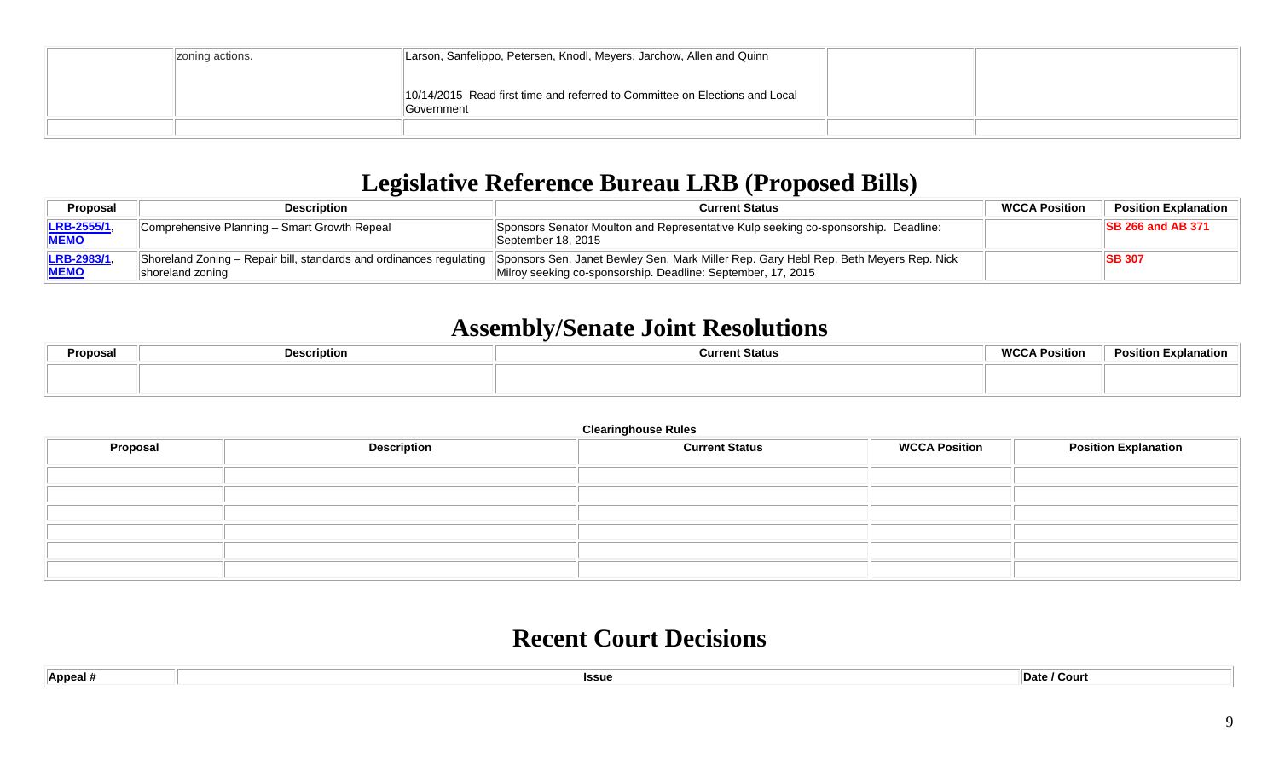| zoning actions. | Larson, Sanfelippo, Petersen, Knodl, Meyers, Jarchow, Allen and Quinn                     |  |
|-----------------|-------------------------------------------------------------------------------------------|--|
|                 | 10/14/2015 Read first time and referred to Committee on Elections and Local<br>Government |  |
|                 |                                                                                           |  |

# **Legislative Reference Bureau LRB (Proposed Bills)**

| Proposal                         | <b>Description</b>                                                                                  | <b>Current Status</b>                                                                                                                                 | <b>WCCA Position</b> | <b>Position Explanation</b> |
|----------------------------------|-----------------------------------------------------------------------------------------------------|-------------------------------------------------------------------------------------------------------------------------------------------------------|----------------------|-----------------------------|
| <b>LRB-2555/1</b><br><b>MEMO</b> | Comprehensive Planning - Smart Growth Repeal                                                        | Sponsors Senator Moulton and Representative Kulp seeking co-sponsorship. Deadline:<br>September 18, 2015                                              |                      | <b>ISB 266 and AB 371</b>   |
| <b>LRB-2983/1</b><br><b>MEMO</b> | Shoreland Zoning – Repair bill, standards and ordinances regulating $\parallel$<br>shoreland zoning | Sponsors Sen. Janet Bewley Sen. Mark Miller Rep. Gary Hebl Rep. Beth Meyers Rep. Nick<br>Milroy seeking co-sponsorship. Deadline: September, 17, 2015 |                      | <b>SB 307</b>               |

### **Assembly/Senate Joint Resolutions**

|  |  | Position Explanation |
|--|--|----------------------|
|  |  |                      |

#### **Clearinghouse Rules**

| <b>Proposal</b> | <b>Description</b> | <b>Current Status</b> | <b>WCCA Position</b> | <b>Position Explanation</b> |
|-----------------|--------------------|-----------------------|----------------------|-----------------------------|
|                 |                    |                       |                      |                             |
|                 |                    |                       |                      |                             |
|                 |                    |                       |                      |                             |
|                 |                    |                       |                      |                             |
|                 |                    |                       |                      |                             |
|                 |                    |                       |                      |                             |

#### **Recent Court Decisions**

| $\parallel$ Appeal # | <b>Issue</b> | / Court<br>∣Date / |
|----------------------|--------------|--------------------|
|                      |              |                    |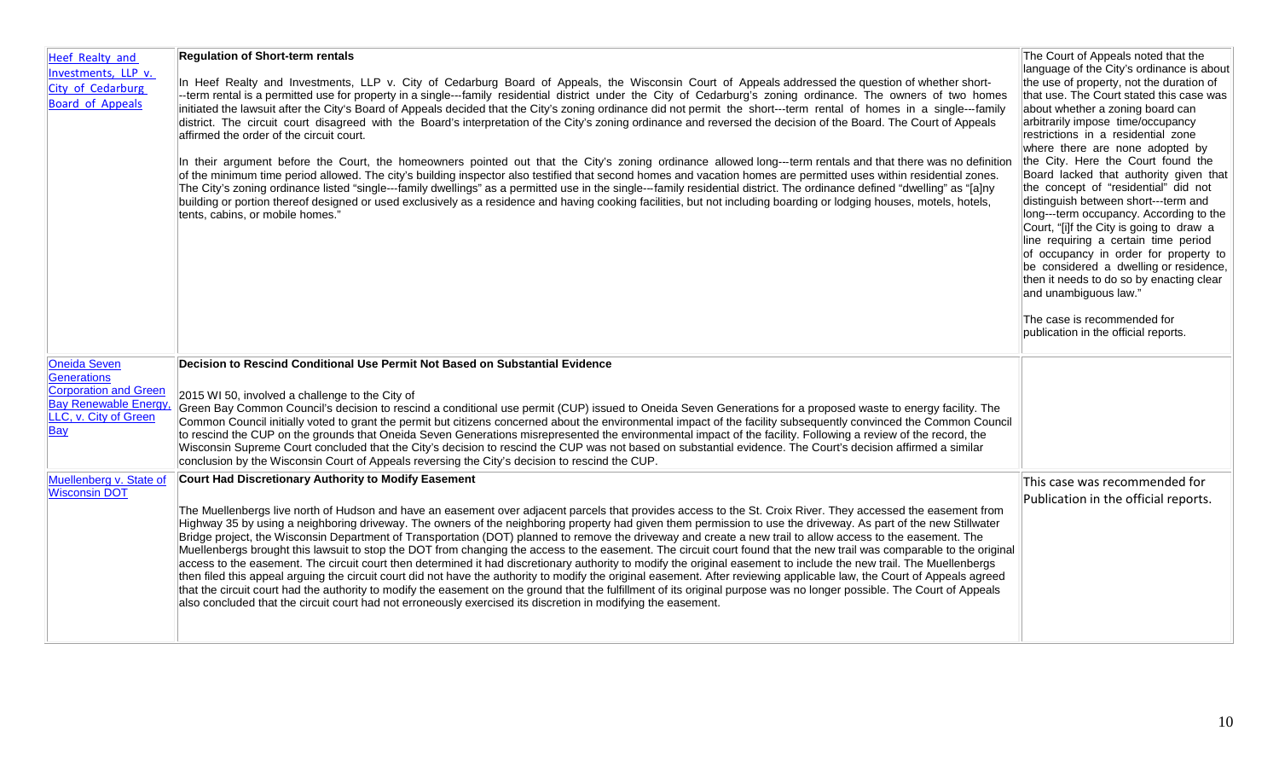| Heef Realty and<br>Investments, LLP v.<br>City of Cedarburg<br><b>Board of Appeals</b>                               | <b>Regulation of Short-term rentals</b><br>In Heef Realty and Investments, LLP v. City of Cedarburg Board of Appeals, the Wisconsin Court of Appeals addressed the question of whether short-<br>--term rental is a permitted use for property in a single---family residential district under the City of Cedarburg's zoning ordinance. The owners of two homes<br>initiated the lawsuit after the City's Board of Appeals decided that the City's zoning ordinance did not permit the short---term rental of homes in a single---family<br>district. The circuit court disagreed with the Board's interpretation of the City's zoning ordinance and reversed the decision of the Board. The Court of Appeals<br>affirmed the order of the circuit court.<br>In their argument before the Court, the homeowners pointed out that the City's zoning ordinance allowed long---term rentals and that there was no definition<br>of the minimum time period allowed. The city's building inspector also testified that second homes and vacation homes are permitted uses within residential zones.<br>The City's zoning ordinance listed "single---family dwellings" as a permitted use in the single---family residential district. The ordinance defined "dwelling" as "[a]ny<br>building or portion thereof designed or used exclusively as a residence and having cooking facilities, but not including boarding or lodging houses, motels, hotels,<br>tents, cabins, or mobile homes." | The Court of Appeals noted that the<br>language of the City's ordinance is about<br>the use of property, not the duration of<br>that use. The Court stated this case was<br>about whether a zoning board can<br>arbitrarily impose time/occupancy<br>restrictions in a residential zone<br>where there are none adopted by<br>the City. Here the Court found the<br>Board lacked that authority given that<br>the concept of "residential" did not<br>distinguish between short---term and<br>long---term occupancy. According to the<br>Court, "[i]f the City is going to draw a<br>line requiring a certain time period<br>of occupancy in order for property to<br>be considered a dwelling or residence,<br>then it needs to do so by enacting clear<br>and unambiguous law." |
|----------------------------------------------------------------------------------------------------------------------|-------------------------------------------------------------------------------------------------------------------------------------------------------------------------------------------------------------------------------------------------------------------------------------------------------------------------------------------------------------------------------------------------------------------------------------------------------------------------------------------------------------------------------------------------------------------------------------------------------------------------------------------------------------------------------------------------------------------------------------------------------------------------------------------------------------------------------------------------------------------------------------------------------------------------------------------------------------------------------------------------------------------------------------------------------------------------------------------------------------------------------------------------------------------------------------------------------------------------------------------------------------------------------------------------------------------------------------------------------------------------------------------------------------------------------------------------------------------------------------------|-----------------------------------------------------------------------------------------------------------------------------------------------------------------------------------------------------------------------------------------------------------------------------------------------------------------------------------------------------------------------------------------------------------------------------------------------------------------------------------------------------------------------------------------------------------------------------------------------------------------------------------------------------------------------------------------------------------------------------------------------------------------------------------|
|                                                                                                                      |                                                                                                                                                                                                                                                                                                                                                                                                                                                                                                                                                                                                                                                                                                                                                                                                                                                                                                                                                                                                                                                                                                                                                                                                                                                                                                                                                                                                                                                                                           | The case is recommended for<br>publication in the official reports.                                                                                                                                                                                                                                                                                                                                                                                                                                                                                                                                                                                                                                                                                                               |
| <b>Oneida Seven</b><br>Generations<br>Corporation and Green<br>Bay Renewable Energy,<br>LLC, v. City of Green<br>Bay | Decision to Rescind Conditional Use Permit Not Based on Substantial Evidence<br>2015 WI 50, involved a challenge to the City of<br>Green Bay Common Council's decision to rescind a conditional use permit (CUP) issued to Oneida Seven Generations for a proposed waste to energy facility. The<br>Common Council initially voted to grant the permit but citizens concerned about the environmental impact of the facility subsequently convinced the Common Council<br>to rescind the CUP on the grounds that Oneida Seven Generations misrepresented the environmental impact of the facility. Following a review of the record, the<br>Wisconsin Supreme Court concluded that the City's decision to rescind the CUP was not based on substantial evidence. The Court's decision affirmed a similar<br>conclusion by the Wisconsin Court of Appeals reversing the City's decision to rescind the CUP.                                                                                                                                                                                                                                                                                                                                                                                                                                                                                                                                                                                |                                                                                                                                                                                                                                                                                                                                                                                                                                                                                                                                                                                                                                                                                                                                                                                   |
| Muellenberg v. State of<br><b>Wisconsin DOT</b>                                                                      | Court Had Discretionary Authority to Modify Easement<br>The Muellenbergs live north of Hudson and have an easement over adjacent parcels that provides access to the St. Croix River. They accessed the easement from<br>Highway 35 by using a neighboring driveway. The owners of the neighboring property had given them permission to use the driveway. As part of the new Stillwater<br>Bridge project, the Wisconsin Department of Transportation (DOT) planned to remove the driveway and create a new trail to allow access to the easement. The<br>Muellenbergs brought this lawsuit to stop the DOT from changing the access to the easement. The circuit court found that the new trail was comparable to the original<br>access to the easement. The circuit court then determined it had discretionary authority to modify the original easement to include the new trail. The Muellenbergs<br>then filed this appeal arguing the circuit court did not have the authority to modify the original easement. After reviewing applicable law, the Court of Appeals agreed<br>that the circuit court had the authority to modify the easement on the ground that the fulfillment of its original purpose was no longer possible. The Court of Appeals<br>also concluded that the circuit court had not erroneously exercised its discretion in modifying the easement.                                                                                                           | This case was recommended for<br>Publication in the official reports.                                                                                                                                                                                                                                                                                                                                                                                                                                                                                                                                                                                                                                                                                                             |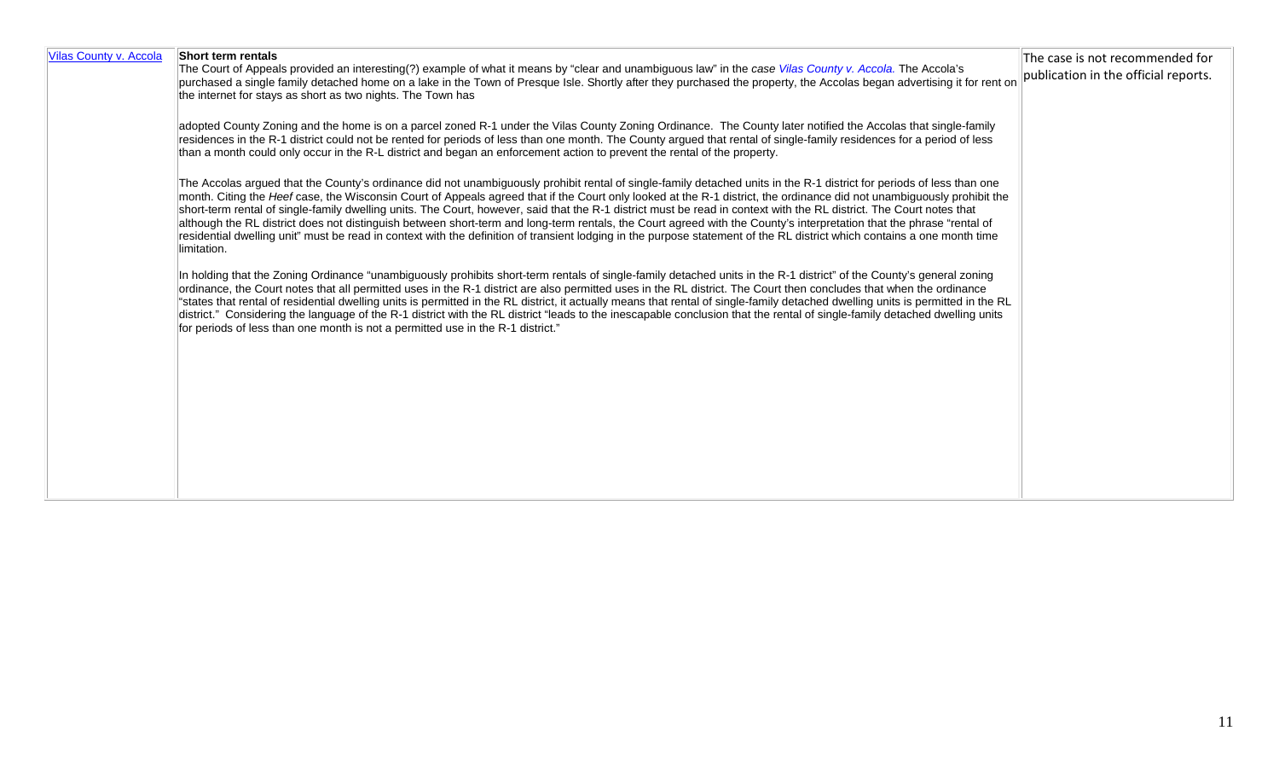| Vilas County v. Accola | Short term rentals<br>The Court of Appeals provided an interesting(?) example of what it means by "clear and unambiguous law" in the case Vilas County v. Accola. The Accola's<br>purchased a single family detached home on a lake in the Town of Presque Isle. Shortly after they purchased the property, the Accolas began advertising it for rent on<br>the internet for stays as short as two nights. The Town has                                                                                                                                                                                                                                                                                                                                                                                                                                                                   | The case is not recommended for<br>publication in the official reports. |
|------------------------|-------------------------------------------------------------------------------------------------------------------------------------------------------------------------------------------------------------------------------------------------------------------------------------------------------------------------------------------------------------------------------------------------------------------------------------------------------------------------------------------------------------------------------------------------------------------------------------------------------------------------------------------------------------------------------------------------------------------------------------------------------------------------------------------------------------------------------------------------------------------------------------------|-------------------------------------------------------------------------|
|                        | adopted County Zoning and the home is on a parcel zoned R-1 under the Vilas County Zoning Ordinance. The County later notified the Accolas that single-family<br>residences in the R-1 district could not be rented for periods of less than one month. The County argued that rental of single-family residences for a period of less<br>than a month could only occur in the R-L district and began an enforcement action to prevent the rental of the property.                                                                                                                                                                                                                                                                                                                                                                                                                        |                                                                         |
|                        | The Accolas argued that the County's ordinance did not unambiguously prohibit rental of single-family detached units in the R-1 district for periods of less than one<br>month. Citing the Heef case, the Wisconsin Court of Appeals agreed that if the Court only looked at the R-1 district, the ordinance did not unambiguously prohibit the<br>short-term rental of single-family dwelling units. The Court, however, said that the R-1 district must be read in context with the RL district. The Court notes that<br>although the RL district does not distinguish between short-term and long-term rentals, the Court agreed with the County's interpretation that the phrase "rental of<br>residential dwelling unit" must be read in context with the definition of transient lodging in the purpose statement of the RL district which contains a one month time<br>limitation. |                                                                         |
|                        | In holding that the Zoning Ordinance "unambiguously prohibits short-term rentals of single-family detached units in the R-1 district" of the County's general zoning<br>ordinance, the Court notes that all permitted uses in the R-1 district are also permitted uses in the RL district. The Court then concludes that when the ordinance<br>"states that rental of residential dwelling units is permitted in the RL district, it actually means that rental of single-family detached dwelling units is permitted in the RL<br>district." Considering the language of the R-1 district with the RL district "leads to the inescapable conclusion that the rental of single-family detached dwelling units<br>for periods of less than one month is not a permitted use in the R-1 district."                                                                                          |                                                                         |
|                        |                                                                                                                                                                                                                                                                                                                                                                                                                                                                                                                                                                                                                                                                                                                                                                                                                                                                                           |                                                                         |
|                        |                                                                                                                                                                                                                                                                                                                                                                                                                                                                                                                                                                                                                                                                                                                                                                                                                                                                                           |                                                                         |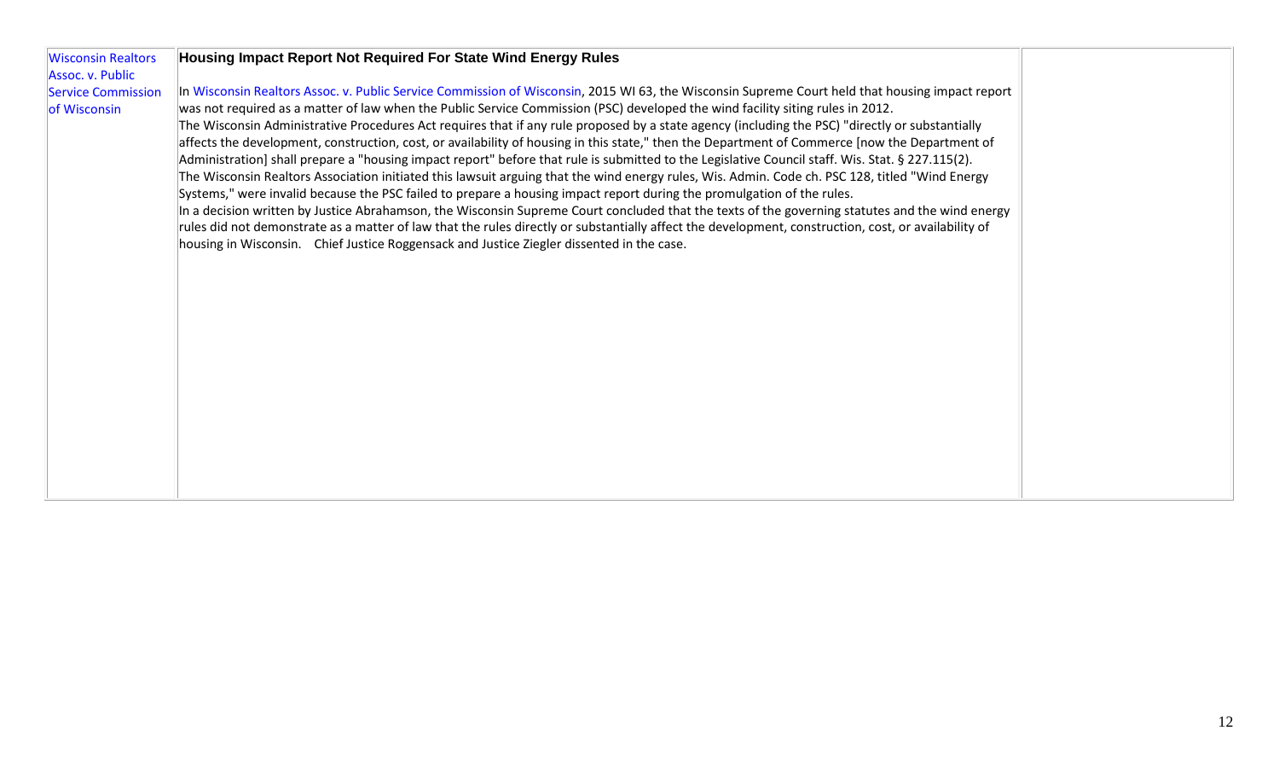| <b>Wisconsin Realtors</b> | Housing Impact Report Not Required For State Wind Energy Rules                                                                                       |  |
|---------------------------|------------------------------------------------------------------------------------------------------------------------------------------------------|--|
| Assoc. v. Public          |                                                                                                                                                      |  |
| <b>Service Commission</b> | In Wisconsin Realtors Assoc. v. Public Service Commission of Wisconsin, 2015 WI 63, the Wisconsin Supreme Court held that housing impact report      |  |
| of Wisconsin              | was not required as a matter of law when the Public Service Commission (PSC) developed the wind facility siting rules in 2012.                       |  |
|                           | The Wisconsin Administrative Procedures Act requires that if any rule proposed by a state agency (including the PSC) "directly or substantially      |  |
|                           | affects the development, construction, cost, or availability of housing in this state," then the Department of Commerce [now the Department of       |  |
|                           | Administration] shall prepare a "housing impact report" before that rule is submitted to the Legislative Council staff. Wis. Stat. § 227.115(2).     |  |
|                           | The Wisconsin Realtors Association initiated this lawsuit arguing that the wind energy rules, Wis. Admin. Code ch. PSC 128, titled "Wind Energy      |  |
|                           | Systems," were invalid because the PSC failed to prepare a housing impact report during the promulgation of the rules.                               |  |
|                           | In a decision written by Justice Abrahamson, the Wisconsin Supreme Court concluded that the texts of the governing statutes and the wind energy      |  |
|                           | rules did not demonstrate as a matter of law that the rules directly or substantially affect the development, construction, cost, or availability of |  |
|                           | housing in Wisconsin. Chief Justice Roggensack and Justice Ziegler dissented in the case.                                                            |  |
|                           |                                                                                                                                                      |  |
|                           |                                                                                                                                                      |  |
|                           |                                                                                                                                                      |  |
|                           |                                                                                                                                                      |  |
|                           |                                                                                                                                                      |  |
|                           |                                                                                                                                                      |  |
|                           |                                                                                                                                                      |  |
|                           |                                                                                                                                                      |  |
|                           |                                                                                                                                                      |  |
|                           |                                                                                                                                                      |  |
|                           |                                                                                                                                                      |  |
|                           |                                                                                                                                                      |  |
|                           |                                                                                                                                                      |  |
|                           |                                                                                                                                                      |  |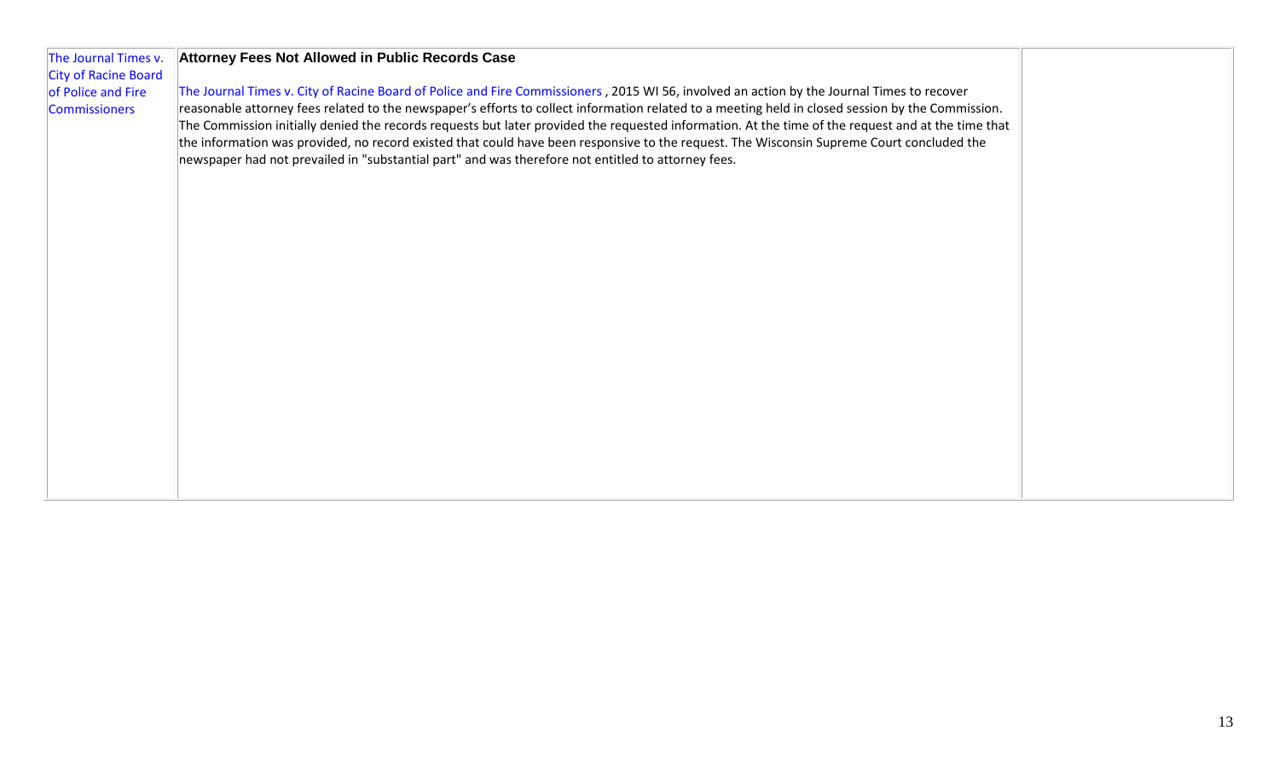| The Journal Times v.<br><b>City of Racine Board</b> | Attorney Fees Not Allowed in Public Records Case                                                                                                                                                                                                                                                                                                                                                      |  |
|-----------------------------------------------------|-------------------------------------------------------------------------------------------------------------------------------------------------------------------------------------------------------------------------------------------------------------------------------------------------------------------------------------------------------------------------------------------------------|--|
| of Police and Fire<br><b>Commissioners</b>          | The Journal Times v. City of Racine Board of Police and Fire Commissioners, 2015 WI 56, involved an action by the Journal Times to recover<br>reasonable attorney fees related to the newspaper's efforts to collect information related to a meeting held in closed session by the Commission.                                                                                                       |  |
|                                                     | The Commission initially denied the records requests but later provided the requested information. At the time of the request and at the time that<br>the information was provided, no record existed that could have been responsive to the request. The Wisconsin Supreme Court concluded the<br>newspaper had not prevailed in "substantial part" and was therefore not entitled to attorney fees. |  |
|                                                     |                                                                                                                                                                                                                                                                                                                                                                                                       |  |
|                                                     |                                                                                                                                                                                                                                                                                                                                                                                                       |  |
|                                                     |                                                                                                                                                                                                                                                                                                                                                                                                       |  |
|                                                     |                                                                                                                                                                                                                                                                                                                                                                                                       |  |
|                                                     |                                                                                                                                                                                                                                                                                                                                                                                                       |  |
|                                                     |                                                                                                                                                                                                                                                                                                                                                                                                       |  |
|                                                     |                                                                                                                                                                                                                                                                                                                                                                                                       |  |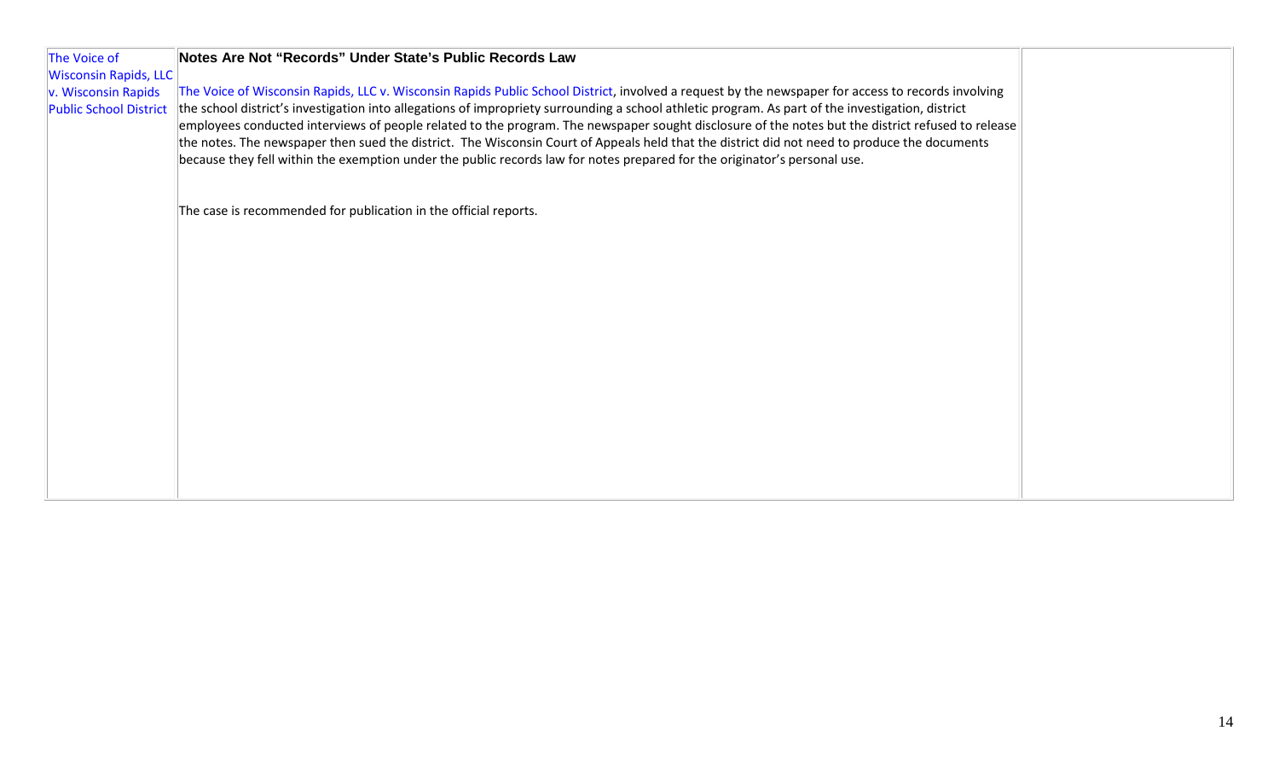| The Voice of                                         | Notes Are Not "Records" Under State's Public Records Law                                                                                                                                                                                                                                                                                                                                                                                                                                                                                                                                                                                                                                                                                  |  |
|------------------------------------------------------|-------------------------------------------------------------------------------------------------------------------------------------------------------------------------------------------------------------------------------------------------------------------------------------------------------------------------------------------------------------------------------------------------------------------------------------------------------------------------------------------------------------------------------------------------------------------------------------------------------------------------------------------------------------------------------------------------------------------------------------------|--|
| <b>Wisconsin Rapids, LLC</b>                         |                                                                                                                                                                                                                                                                                                                                                                                                                                                                                                                                                                                                                                                                                                                                           |  |
| v. Wisconsin Rapids<br><b>Public School District</b> | The Voice of Wisconsin Rapids, LLC v. Wisconsin Rapids Public School District, involved a request by the newspaper for access to records involving<br>the school district's investigation into allegations of impropriety surrounding a school athletic program. As part of the investigation, district<br>employees conducted interviews of people related to the program. The newspaper sought disclosure of the notes but the district refused to release<br>the notes. The newspaper then sued the district. The Wisconsin Court of Appeals held that the district did not need to produce the documents<br>because they fell within the exemption under the public records law for notes prepared for the originator's personal use. |  |
|                                                      | The case is recommended for publication in the official reports.                                                                                                                                                                                                                                                                                                                                                                                                                                                                                                                                                                                                                                                                          |  |
|                                                      |                                                                                                                                                                                                                                                                                                                                                                                                                                                                                                                                                                                                                                                                                                                                           |  |
|                                                      |                                                                                                                                                                                                                                                                                                                                                                                                                                                                                                                                                                                                                                                                                                                                           |  |
|                                                      |                                                                                                                                                                                                                                                                                                                                                                                                                                                                                                                                                                                                                                                                                                                                           |  |
|                                                      |                                                                                                                                                                                                                                                                                                                                                                                                                                                                                                                                                                                                                                                                                                                                           |  |
|                                                      |                                                                                                                                                                                                                                                                                                                                                                                                                                                                                                                                                                                                                                                                                                                                           |  |
|                                                      |                                                                                                                                                                                                                                                                                                                                                                                                                                                                                                                                                                                                                                                                                                                                           |  |
|                                                      |                                                                                                                                                                                                                                                                                                                                                                                                                                                                                                                                                                                                                                                                                                                                           |  |
|                                                      |                                                                                                                                                                                                                                                                                                                                                                                                                                                                                                                                                                                                                                                                                                                                           |  |